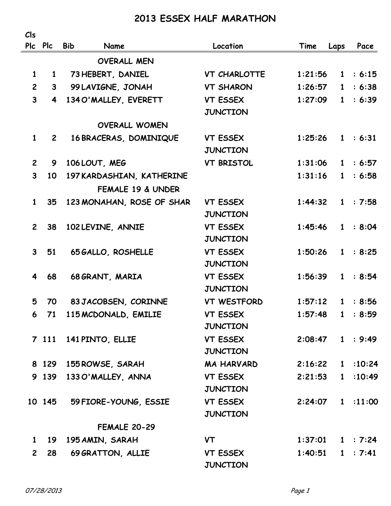## **2013 ESSEX HALF MARATHON**

| Cls            |                         |                                  |                     |                    |              |          |
|----------------|-------------------------|----------------------------------|---------------------|--------------------|--------------|----------|
|                | Plc Plc                 | <b>Bib</b><br>Name               | Location            | Time               | Laps         | Pace     |
|                |                         | <b>OVERALL MEN</b>               |                     |                    |              |          |
| $\mathbf{1}$   | $\mathbf{1}$            | 73 HEBERT, DANIEL                | <b>VT CHARLOTTE</b> | 1:21:56            |              | 1 : 6:15 |
| $\overline{2}$ |                         | $3^{\circ}$<br>99 LAVIGNE, JONAH | <b>VT SHARON</b>    | 1:26:57            | $\mathbf{1}$ | : 6:38   |
| $\mathbf{3}$   | $\overline{\mathbf{4}}$ | 134 O'MALLEY, EVERETT            | <b>VT ESSEX</b>     | 1:27:09            | $\mathbf{1}$ | : 6:39   |
|                |                         |                                  | <b>JUNCTION</b>     |                    |              |          |
|                |                         | <b>OVERALL WOMEN</b>             |                     |                    |              |          |
| $\mathbf{1}$   | $\mathbf{2}$            | 16 BRACERAS, DOMINIQUE           | VT ESSEX            | 1:25:26            |              | 1 : 6:31 |
|                |                         |                                  | <b>JUNCTION</b>     |                    |              |          |
| $\mathbf{2}$   | 9                       | 106 LOUT, MEG                    | <b>VT BRISTOL</b>   | 1:31:06            |              | 1 : 6:57 |
| $\mathbf{3}$   | 10                      | 197 KARDASHIAN, KATHERINE        |                     | 1:31:16            | 1            | : 6:58   |
|                |                         | FEMALE 19 & UNDER                |                     |                    |              |          |
| $\mathbf{1}$   | 35 <sub>2</sub>         | 123 MONAHAN, ROSE OF SHAR        | <b>VT ESSEX</b>     | 1:44:32            |              | 1 : 7:58 |
|                |                         |                                  | <b>JUNCTION</b>     |                    |              |          |
| $\mathbf{2}$   | 38                      | 102 LEVINE, ANNIE                | <b>VT ESSEX</b>     | 1:45:46            |              | 1 : 8:04 |
|                |                         |                                  | <b>JUNCTION</b>     |                    |              |          |
| $\mathbf{3}$   | 51                      | 65 GALLO, ROSHELLE               | <b>VT ESSEX</b>     | 1:50:26            |              | 1 : 8:25 |
|                |                         |                                  | <b>JUNCTION</b>     |                    |              |          |
| 4              | 68                      | 68 GRANT, MARIA                  | <b>VT ESSEX</b>     | 1:56:39            |              | 1 : 8:54 |
|                |                         |                                  | <b>JUNCTION</b>     |                    |              |          |
| 5              | 70                      | 83 JACOBSEN, CORINNE             | <b>VT WESTFORD</b>  | 1:57:12            |              | 1 : 8:56 |
| 6              | 71                      | 115 MCDONALD, EMILIE             | <b>VT ESSEX</b>     | 1:57:48            | $\mathbf{1}$ | : 8:59   |
|                |                         |                                  | <b>JUNCTION</b>     |                    |              |          |
|                | 7 111                   | 141 PINTO, ELLIE                 | <b>VT ESSEX</b>     | 2:08:47            |              | 1 : 9:49 |
|                |                         |                                  | <b>JUNCTION</b>     |                    |              |          |
|                |                         | 8 129 155 ROWSE, SARAH           | <b>MA HARVARD</b>   | 2:16:22            |              | 1:10:24  |
|                |                         | 9 139 133 O'MALLEY, ANNA         | <b>VT ESSEX</b>     | 2:21:53            |              | 1:10:49  |
|                |                         |                                  | <b>JUNCTION</b>     |                    |              |          |
|                | 10 145                  | 59 FIORE-YOUNG, ESSIE            | <b>VT ESSEX</b>     | 2:24:07            |              | 1:11:00  |
|                |                         |                                  | <b>JUNCTION</b>     |                    |              |          |
|                |                         | <b>FEMALE 20-29</b>              |                     |                    |              |          |
| $\mathbf{1}$   |                         | 19 195 AMIN, SARAH               | <b>VT</b>           | $1:37:01$ 1 : 7:24 |              |          |
| $\mathbf{2}$   | 28                      | 69 GRATTON, ALLIE                | <b>VT ESSEX</b>     | 1:40:51            |              | 1 : 7:41 |
|                |                         |                                  | <b>JUNCTION</b>     |                    |              |          |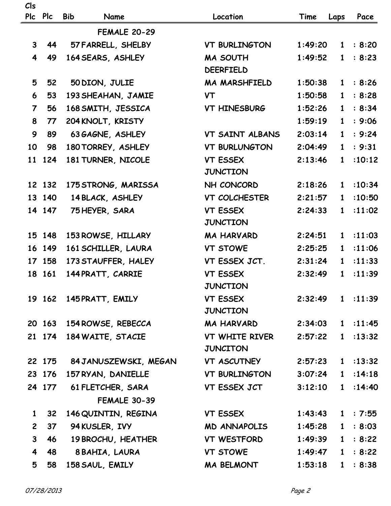| Cls<br>Pic              | <b>Plc</b> | <b>Bib</b><br>Name           | Location                            | Time               |              | Pace               |
|-------------------------|------------|------------------------------|-------------------------------------|--------------------|--------------|--------------------|
|                         |            |                              |                                     |                    | Laps         |                    |
|                         |            | <b>FEMALE 20-29</b>          |                                     |                    |              |                    |
| 3 <sup>1</sup>          | 44         | 57 FARRELL, SHELBY           | <b>VT BURLINGTON</b>                | 1:49:20            | 1            | : 8:20             |
| $\overline{\mathbf{4}}$ | 49         | 164 SEARS, ASHLEY            | <b>MA SOUTH</b><br><b>DEERFIELD</b> | 1:49:52            | $\mathbf{1}$ | : 8:23             |
| 5                       |            |                              | <b>MA MARSHFIELD</b>                |                    |              | 1 : 8:26           |
|                         | 52         | 50 DION, JULIE               |                                     | 1:50:38            |              | : 8:28             |
| 6                       | 53         | 193 SHEAHAN, JAMIE           | <b>VT</b>                           | 1:50:58            | $\mathbf{1}$ | : 8:34             |
| $\overline{7}$          | 56         | 168 SMITH, JESSICA           | <b>VT HINESBURG</b>                 | 1:52:26            | $\mathbf{1}$ |                    |
| 8                       | 77         | 204 KNOLT, KRISTY            |                                     | 1:59:19            | $\mathbf{1}$ | : 9:06             |
| 9                       | 89         | 63 GAGNE, ASHLEY             | VT SAINT ALBANS                     | 2:03:14            | $\mathbf{1}$ | : 9:24             |
| 10                      | 98         | 180 TORREY, ASHLEY           | <b>VT BURLUNGTON</b>                | 2:04:49            | $\mathbf{1}$ | : 9:31             |
| 11                      | 124        | 181 TURNER, NICOLE           | <b>VT ESSEX</b><br><b>JUNCTION</b>  | 2:13:46            | $\mathbf{1}$ | :10:12             |
|                         | 12 132     | 175 STRONG, MARISSA          | NH CONCORD                          | 2:18:26            | $\mathbf{1}$ | :10:34             |
|                         | 13 140     | 14 BLACK, ASHLEY             | VT COLCHESTER                       | 2:21:57            | $\mathbf{1}$ | :10:50             |
|                         | 14 147     | 75 HEYER, SARA               | <b>VT ESSEX</b>                     | 2:24:33            | $\mathbf{1}$ | :11:02             |
|                         |            |                              | <b>JUNCTION</b>                     |                    |              |                    |
|                         | 15 148     | 153 ROWSE, HILLARY           | <b>MA HARVARD</b>                   | 2:24:51            | $1 \quad$    | :11:03             |
|                         | 16 149     | 161 SCHILLER, LAURA          | <b>VT STOWE</b>                     | 2:25:25            | $\mathbf{1}$ | :11:06             |
|                         | 17 158     | 173 STAUFFER, HALEY          | VT ESSEX JCT.                       | 2:31:24            | $\mathbf{1}$ | :11:33             |
|                         | 18 161     | 144 PRATT, CARRIE            | <b>VT ESSEX</b>                     | 2:32:49            | $\mathbf{1}$ | :11:39             |
|                         |            |                              | JUNCTION                            |                    |              |                    |
|                         | 19 162     | 145 PRATT, EMILY             | <b>VT ESSEX</b>                     | 2:32:49            |              | 1:11:39            |
|                         |            |                              | <b>JUNCTION</b>                     |                    |              |                    |
|                         | 20 163     | <b>154 ROWSE, REBECCA</b>    | MA HARVARD                          |                    |              | $2:34:03$ 1 :11:45 |
|                         | 21 174     | 184 WAITE, STACIE            | VT WHITE RIVER                      | 2:57:22            |              | 1:13:32            |
|                         |            |                              | <b>JUNCITON</b>                     |                    |              |                    |
|                         |            | 22 175 84 JANUSZEWSKI, MEGAN | VT ASCUTNEY                         | 2:57:23            |              | 1:13:32            |
|                         | 23 176     | 157 RYAN, DANIELLE           | VT BURLINGTON                       | 3:07:24            | 1            | :14:18             |
|                         |            | 24 177 61 FLETCHER, SARA     | VT ESSEX JCT                        | 3:12:10            | 1            | :14:40             |
|                         |            | <b>FEMALE 30-39</b>          |                                     |                    |              |                    |
| $\mathbf{1}$            | 32         | 146 QUINTIN, REGINA          | VT ESSEX                            | 1:43:43            |              | 1 : 7:55           |
| $\overline{2}$          | 37         | 94 KUSLER, IVY               | MD ANNAPOLIS                        | 1:45:28            | $\mathbf{1}$ | : 8:03             |
| $\mathbf{3}$            | 46         | 19 BROCHU, HEATHER           | VT WESTFORD                         | 1:49:39            |              | 1 : 8:22           |
| $\overline{\mathbf{4}}$ | 48         | 8 BAHIA, LAURA               | <b>VT STOWE</b>                     | $1:49:47$ 1 : 8:22 |              |                    |
| 5                       | 58         | 158 SAUL, EMILY              | MA BELMONT                          | 1:53:18            |              | 1 : 8:38           |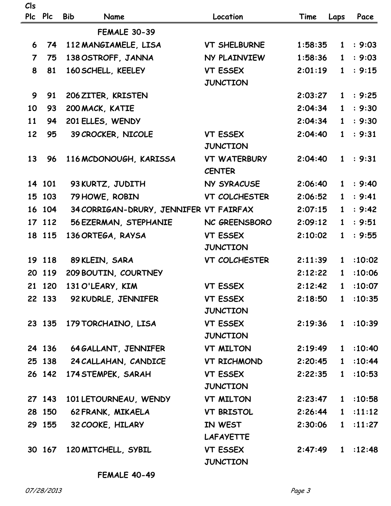| Cls                     |            |                                         |                                      |                    |              |           |
|-------------------------|------------|-----------------------------------------|--------------------------------------|--------------------|--------------|-----------|
| <b>PIc</b>              | <b>Plc</b> | <b>Bib</b><br>Name                      | Location                             | Time               | Laps         | Pace      |
|                         |            | <b>FEMALE 30-39</b>                     |                                      |                    |              |           |
| 6                       | 74         | 112 MANGIAMELE, LISA                    | <b>VT SHELBURNE</b>                  | 1:58:35            |              | 1 : 9:03  |
| $\overline{\mathbf{7}}$ | 75         | 138 OSTROFF, JANNA                      | NY PLAINVIEW                         | 1:58:36            | $\mathbf{1}$ | : 9:03    |
| 8                       | 81         | 160 SCHELL, KEELEY                      | <b>VT ESSEX</b>                      | 2:01:19            | 1            | : 9:15    |
|                         |            |                                         | <b>JUNCTION</b>                      |                    |              |           |
| 9                       | 91         | 206 ZITER, KRISTEN                      |                                      | 2:03:27            |              | 1 : 9:25  |
| 10                      | 93         | 200 MACK, KATIE                         |                                      | 2:04:34            | $\mathbf{1}$ | : 9:30    |
| 11                      | 94         | 201 ELLES, WENDY                        |                                      | 2:04:34            | 1            | : 9:30    |
| 12                      | 95         | 39 CROCKER, NICOLE                      | <b>VT ESSEX</b>                      | 2:04:40            | $\mathbf{1}$ | : 9:31    |
|                         |            |                                         | <b>JUNCTION</b>                      |                    |              |           |
| 13                      | 96         | 116 MCDONOUGH, KARISSA                  | <b>VT WATERBURY</b><br><b>CENTER</b> | 2:04:40            |              | 1 : 9:31  |
|                         | 14 101     | 93 KURTZ, JUDITH                        | NY SYRACUSE                          | 2:06:40            |              | 1 : 9:40  |
|                         | 15 103     | 79 HOWE, ROBIN                          | VT COLCHESTER                        | 2:06:52            | $\mathbf{1}$ | : 9:41    |
|                         | 16 104     | 34 CORRIGAN-DRURY, JENNIFER VT FAIRFAX  |                                      | 2:07:15            | $\mathbf{1}$ | : 9:42    |
|                         | 17 112     | 56 EZERMAN, STEPHANIE                   | NC GREENSBORO                        | 2:09:12            | $\mathbf{1}$ | : 9:51    |
|                         | 18 115     | 136 ORTEGA, RAYSA                       | <b>VT ESSEX</b>                      | 2:10:02            | $\mathbf{1}$ | : 9:55    |
|                         |            |                                         | <b>JUNCTION</b>                      |                    |              |           |
|                         | 19 118     | 89 KLEIN, SARA                          | VT COLCHESTER                        | 2:11:39            | $\mathbf{1}$ | :10:02    |
|                         | 20 119     | 209 BOUTIN, COURTNEY                    |                                      | 2:12:22            | $\mathbf{1}$ | :10:06    |
|                         |            | 21 120 131 O'LEARY, KIM                 | <b>VT ESSEX</b>                      | 2:12:42            |              | 1:10:07   |
|                         |            | 22 133 92 KUDRLE, JENNIFER              | <b>VT ESSEX</b>                      | $2:18:50$ 1 :10:35 |              |           |
|                         |            |                                         | JUNCTION                             |                    |              |           |
|                         |            | 23 135 179 TORCHAINO, LISA              | <b>VT ESSEX</b>                      | 2:19:36            |              | 1:10:39   |
|                         |            |                                         | <b>JUNCTION</b>                      |                    |              |           |
|                         |            | 24 136 64 GALLANT, JENNIFER VT MILTON   |                                      | 2:19:49            |              | 1:10:40   |
|                         |            | 25 138 24 CALLAHAN, CANDICE VT RICHMOND |                                      | 2:20:45            |              | 1 : 10:44 |
|                         |            | 26 142 174 STEMPEK, SARAH               | <b>VT ESSEX</b>                      | 2:22:35            |              | 1:10:53   |
|                         |            |                                         | <b>JUNCTION</b>                      |                    |              |           |
|                         | 27 143     | 101 LETOURNEAU, WENDY                   | VT MILTON                            | 2:23:47            |              | 1:10:58   |
|                         | 28 150     | 62 FRANK, MIKAELA                       | <b>VT BRISTOL</b>                    | 2:26:44            |              | 1:11:12   |
|                         | 29 155     | 32 COOKE, HILARY                        | IN WEST                              | 2:30:06            |              | 1:11:27   |
|                         |            |                                         | <b>LAFAYETTE</b>                     |                    |              |           |
|                         |            | 30 167 120 MITCHELL, SYBIL              | <b>VT ESSEX</b><br><b>JUNCTION</b>   | 2:47:49            |              | 1:12:48   |

**FEMALE 40-49**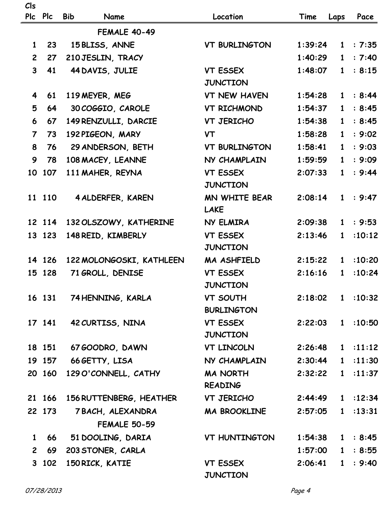| Cls                     | Plc Plc | <b>Bib</b><br>Name                       | Location                             | Time               | Laps         | Pace     |
|-------------------------|---------|------------------------------------------|--------------------------------------|--------------------|--------------|----------|
|                         |         | <b>FEMALE 40-49</b>                      |                                      |                    |              |          |
| $\mathbf{1}$            | 23      | 15 BLISS, ANNE                           | <b>VT BURLINGTON</b>                 | 1:39:24            |              | 1 : 7:35 |
| $2^{\circ}$             | 27      | 210 JESLIN, TRACY                        |                                      | 1:40:29            | $\mathbf{1}$ | : 7:40   |
| $\overline{\mathbf{3}}$ | 41      | 44 DAVIS, JULIE                          | VT ESSEX                             | 1:48:07            | $1 \quad$    | : 8:15   |
|                         |         |                                          | <b>JUNCTION</b>                      |                    |              |          |
| 4                       | 61      | 119 MEYER, MEG                           | <b>VT NEW HAVEN</b>                  | 1:54:28            |              | 1 : 8:44 |
| 5                       | 64      | 30 COGGIO, CAROLE                        | VT RICHMOND                          | 1:54:37            | $\mathbf{1}$ | : 8:45   |
| 6                       | 67      | 149 RENZULLI, DARCIE                     | VT JERICHO                           | 1:54:38            | $1 \quad$    | : 8:45   |
| $\overline{7}$          | 73      | 192 PIGEON, MARY                         | <b>VT</b>                            | 1:58:28            | $\mathbf{1}$ | : 9:02   |
| 8                       | 76      | 29 ANDERSON, BETH                        | <b>VT BURLINGTON</b>                 | 1:58:41            | $\mathbf{1}$ | : 9:03   |
| 9                       | 78      | 108 MACEY, LEANNE                        | NY CHAMPLAIN                         | 1:59:59            | $\mathbf{1}$ | : 9:09   |
| 10                      | 107     | 111 MAHER, REYNA                         | <b>VT ESSEX</b><br><b>JUNCTION</b>   | 2:07:33            | $\mathbf{1}$ | : 9:44   |
|                         | 11 110  | 4 ALDERFER, KAREN                        | MN WHITE BEAR<br><b>LAKE</b>         | 2:08:14            |              | 1 : 9:47 |
|                         | 12 114  | 132 OLSZOWY, KATHERINE                   | NY ELMIRA                            | 2:09:38            | $\mathbf{1}$ | : 9:53   |
|                         | 13 123  | 148 REID, KIMBERLY                       | <b>VT ESSEX</b><br><b>JUNCTION</b>   | 2:13:46            | $\mathbf{1}$ | :10:12   |
|                         | 14 126  | 122 MOLONGOSKI, KATHLEEN                 | MA ASHFIELD                          | 2:15:22            | $\mathbf{1}$ | :10:20   |
|                         | 15 128  | 71 GROLL, DENISE                         | <b>VT ESSEX</b><br><b>JUNCTION</b>   | 2:16:16            | $\mathbf{1}$ | :10:24   |
|                         | 16 131  | 74 HENNING, KARLA                        | <b>VT SOUTH</b><br><b>BURLINGTON</b> | 2:18:02            |              | 1:10:32  |
|                         | 17 141  | 42 CURTISS, NINA                         | <b>VT ESSEX</b><br><b>JUNCTION</b>   | 2:22:03            |              | 1:10:50  |
|                         | 18 151  | 67 GOODRO, DAWN                          | VT LINCOLN                           | 2:26:48            |              | 1:11:12  |
|                         |         | 19 157 66 GETTY, LISA                    | NY CHAMPLAIN                         | $2:30:44$ 1 :11:30 |              |          |
|                         | 20 160  | 129 O'CONNELL, CATHY                     | <b>MA NORTH</b><br><b>READING</b>    | 2:32:22            |              | 1:11:37  |
|                         | 21 166  | 156 RUTTENBERG, HEATHER                  | VT JERICHO                           | 2:44:49            |              | 1:12:34  |
|                         | 22 173  | 7 BACH, ALEXANDRA<br><b>FEMALE 50-59</b> | <b>MA BROOKLINE</b>                  | 2:57:05            |              | 1:13:31  |
| $\mathbf{1}$            | 66      | 51 DOOLING, DARIA                        | <b>VT HUNTINGTON</b>                 | 1:54:38            |              | 1 : 8:45 |
| $\overline{2}$          | 69      | 203 STONER, CARLA                        |                                      | 1:57:00            |              | 1 : 8:55 |
|                         | 3 102   | 150 RICK, KATIE                          | <b>VT ESSEX</b><br><b>JUNCTION</b>   | 2:06:41            |              | 1 : 9:40 |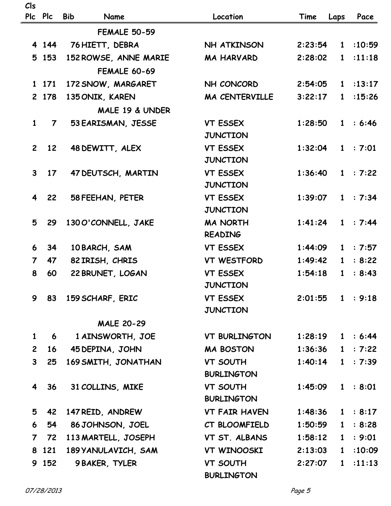| Cls |  |
|-----|--|
|-----|--|

|                         | Plc Plc         | <b>Bib</b><br>Name    | Location             | Time               | Laps         | Pace     |
|-------------------------|-----------------|-----------------------|----------------------|--------------------|--------------|----------|
|                         |                 | <b>FEMALE 50-59</b>   |                      |                    |              |          |
|                         | 4 1 4 4         | 76 HIETT, DEBRA       | NH ATKINSON          | 2:23:54            |              | 1:10:59  |
|                         | 5 153           | 152 ROWSE, ANNE MARIE | <b>MA HARVARD</b>    | 2:28:02            | 1            | :11:18   |
|                         |                 | <b>FEMALE 60-69</b>   |                      |                    |              |          |
|                         | 1 171           | 172 SNOW, MARGARET    | NH CONCORD           | 2:54:05            |              | 1:13:17  |
|                         | 2 178           | 135 ONIK, KAREN       | MA CENTERVILLE       | 3:22:17            | $\mathbf{1}$ | :15:26   |
|                         |                 | MALE 19 & UNDER       |                      |                    |              |          |
| $\mathbf{1}$            | $\overline{7}$  | 53 EARISMAN, JESSE    | <b>VT ESSEX</b>      | 1:28:50            |              | 1 : 6:46 |
|                         |                 |                       | <b>JUNCTION</b>      |                    |              |          |
| $\mathbf{2}$            | 12              | 48 DEWITT, ALEX       | <b>VT ESSEX</b>      | 1:32:04            |              | 1 : 7:01 |
|                         |                 |                       | <b>JUNCTION</b>      |                    |              |          |
| $\mathbf{3}$            | 17 <sup>2</sup> | 47 DEUTSCH, MARTIN    | <b>VT ESSEX</b>      | 1:36:40            |              | 1 : 7:22 |
|                         |                 |                       | <b>JUNCTION</b>      |                    |              |          |
| $\overline{\mathbf{4}}$ | 22              | 58 FEEHAN, PETER      | <b>VT ESSEX</b>      | 1:39:07            |              | 1 : 7:34 |
|                         |                 |                       | <b>JUNCTION</b>      |                    |              |          |
| 5                       | 29              | 130 O'CONNELL, JAKE   | <b>MA NORTH</b>      | 1:41:24            |              | 1 : 7:44 |
|                         |                 |                       | <b>READING</b>       |                    |              |          |
| 6                       | 34              | 10 BARCH, SAM         | <b>VT ESSEX</b>      | 1:44:09            |              | 1 : 7:57 |
| $\overline{7}$          | 47              | 82 IRISH, CHRIS       | <b>VT WESTFORD</b>   | 1:49:42            |              | 1 : 8:22 |
| 8                       | 60              | 22 BRUNET, LOGAN      | <b>VT ESSEX</b>      | 1:54:18            | 1            | : 8:43   |
|                         |                 |                       | <b>JUNCTION</b>      |                    |              |          |
| 9                       | 83              | 159 SCHARF, ERIC      | VT ESSEX             | $2:01:55$ 1 : 9:18 |              |          |
|                         |                 |                       | <b>JUNCTION</b>      |                    |              |          |
|                         |                 | <b>MALE 20-29</b>     |                      |                    |              |          |
| $\mathbf{1}$            | 6               | 1 AINSWORTH, JOE      | <b>VT BURLINGTON</b> | 1:28:19            |              | 1 : 6:44 |
| $2^{\circ}$             | 16              | 45 DEPINA, JOHN       | <b>MA BOSTON</b>     | 1:36:36            |              | 1 : 7:22 |
| $\mathbf{3}$            | 25              | 169 SMITH, JONATHAN   | <b>VT SOUTH</b>      | 1:40:14            | $1 \quad$    | : 7:39   |
|                         |                 |                       | <b>BURLINGTON</b>    |                    |              |          |
| $\overline{\mathbf{4}}$ | 36              | 31 COLLINS, MIKE      | <b>VT SOUTH</b>      | 1:45:09            |              | 1 : 8:01 |
|                         |                 |                       | <b>BURLINGTON</b>    |                    |              |          |
| 5                       | 42              | 147 REID, ANDREW      | <b>VT FAIR HAVEN</b> | 1:48:36            |              | 1 : 8:17 |
| 6                       | 54              | 86 JOHNSON, JOEL      | CT BLOOMFIELD        | 1:50:59            |              | 1 : 8:28 |
| $\overline{7}$          | 72              | 113 MARTELL, JOSEPH   | VT ST. ALBANS        | 1:58:12            | $1 \quad$    | : 9:01   |
|                         | 8 121           | 189 YANULAVICH, SAM   | VT WINOOSKI          | 2:13:03            | $1 \quad$    | :10:09   |
|                         | 9 152           | <b>9 BAKER, TYLER</b> | <b>VT SOUTH</b>      | 2:27:07            |              | 1:11:13  |
|                         |                 |                       | <b>BURLINGTON</b>    |                    |              |          |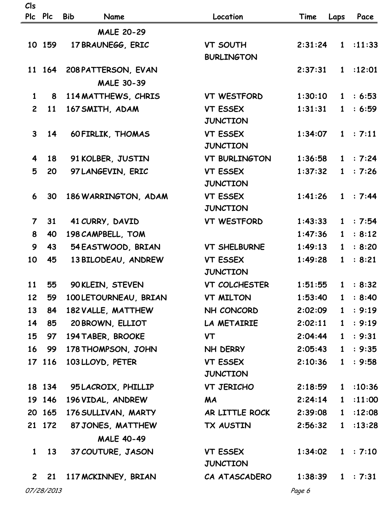## **Cls**

| Plc Plc        |              | <b>Bib</b><br>Name    | Location                           | Time    | Laps         | Pace     |
|----------------|--------------|-----------------------|------------------------------------|---------|--------------|----------|
|                |              | <b>MALE 20-29</b>     |                                    |         |              |          |
|                | 10 159       | 17 BRAUNEGG, ERIC     | <b>VT SOUTH</b>                    | 2:31:24 |              | 1:11:33  |
|                |              |                       | <b>BURLINGTON</b>                  |         |              |          |
|                | 11 164       | 208 PATTERSON, EVAN   |                                    | 2:37:31 |              | 1:12:01  |
|                |              | <b>MALE 30-39</b>     |                                    |         |              |          |
| $\mathbf{1}$   | 8            | 114 MATTHEWS, CHRIS   | <b>VT WESTFORD</b>                 | 1:30:10 |              | 1 : 6:53 |
| $\overline{2}$ | 11           | 167 SMITH, ADAM       | <b>VT ESSEX</b>                    | 1:31:31 | $1 \quad$    | : 6:59   |
|                |              |                       | <b>JUNCTION</b>                    |         |              |          |
| 3 <sup>1</sup> | 14           | 60 FIRLIK, THOMAS     | <b>VT ESSEX</b>                    | 1:34:07 |              | 1 : 7:11 |
|                |              |                       | <b>JUNCTION</b>                    |         |              |          |
| 4              | 18           | 91 KOLBER, JUSTIN     | <b>VT BURLINGTON</b>               | 1:36:58 |              | 1 : 7:24 |
| 5              | 20           | 97 LANGEVIN, ERIC     | <b>VT ESSEX</b>                    | 1:37:32 |              | 1 : 7:26 |
|                |              |                       | <b>JUNCTION</b>                    |         |              |          |
| 6              | 30           | 186 WARRINGTON, ADAM  | <b>VT ESSEX</b>                    | 1:41:26 |              | 1 : 7:44 |
|                |              |                       | <b>JUNCTION</b>                    |         |              |          |
| $\overline{7}$ | 31           | 41 CURRY, DAVID       | <b>VT WESTFORD</b>                 | 1:43:33 |              | 1 : 7:54 |
| 8              | 40           | 198 CAMPBELL, TOM     |                                    | 1:47:36 | 1            | : 8:12   |
| 9              | 43           | 54 EASTWOOD, BRIAN    | <b>VT SHELBURNE</b>                | 1:49:13 | $\mathbf{1}$ | : 8:20   |
| 10             | 45           | 13 BILODEAU, ANDREW   | <b>VT ESSEX</b><br><b>JUNCTION</b> | 1:49:28 | $\mathbf{1}$ | : 8:21   |
| 11             | 55           | 90 KLEIN, STEVEN      | VT COLCHESTER                      | 1:51:55 |              | 1 : 8:32 |
| 12             | 59           | 100 LETOURNEAU, BRIAN | <b>VT MILTON</b>                   | 1:53:40 | $\mathbf{1}$ | : 8:40   |
| 13             | 84           | 182 VALLE, MATTHEW    | NH CONCORD                         | 2:02:09 |              | 1 : 9:19 |
| 14             | 85           | 20 BROWN, ELLIOT      | LA METAIRIE                        | 2:02:11 |              | 1 : 9:19 |
| 15             | 97           | 194 TABER, BROOKE     | <b>VT</b>                          | 2:04:44 |              | 1 : 9:31 |
| 16             | 99           | 178 THOMPSON, JOHN    | NH DERRY                           | 2:05:43 |              | 1 : 9:35 |
|                | 17 116       | 103 LLOYD, PETER      | <b>VT ESSEX</b>                    | 2:10:36 |              | 1 : 9:58 |
|                |              |                       | <b>JUNCTION</b>                    |         |              |          |
|                | 18 134       | 95 LACROIX, PHILLIP   | VT JERICHO                         | 2:18:59 |              | 1:10:36  |
|                | 19 146       | 196 VIDAL, ANDREW     | <b>MA</b>                          | 2:24:14 | 1            | : 11:00  |
|                | 20 165       | 176 SULLIVAN, MARTY   | AR LITTLE ROCK                     | 2:39:08 |              | 1:12:08  |
|                | 21 172       | 87 JONES, MATTHEW     | TX AUSTIN                          | 2:56:32 |              | 1:13:28  |
|                |              | <b>MALE 40-49</b>     |                                    |         |              |          |
|                | $1 \quad 13$ | 37 COUTURE, JASON     | <b>VT ESSEX</b>                    | 1:34:02 |              | 1 : 7:10 |
|                |              |                       | <b>JUNCTION</b>                    |         |              |          |
| $\mathbf{2}$   | 21           | 117 MCKINNEY, BRIAN   | CA ATASCADERO                      | 1:38:39 |              | 1 : 7:31 |
|                | 07/28/2013   |                       |                                    | Page 6  |              |          |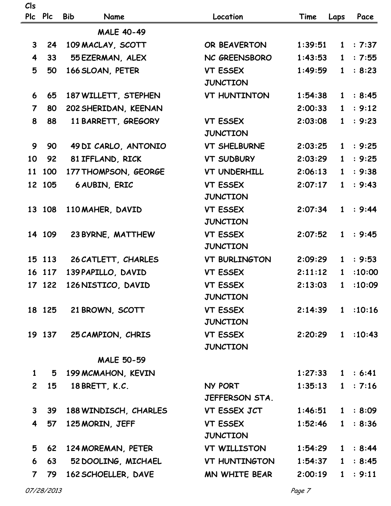| Cls<br>Plc              | <b>Plc</b>   | <b>Bib</b><br>Name       | Location                           | Time               | Laps         | Pace     |
|-------------------------|--------------|--------------------------|------------------------------------|--------------------|--------------|----------|
|                         |              | <b>MALE 40-49</b>        |                                    |                    |              |          |
| $\mathbf{3}$            | 24           | 109 MACLAY, SCOTT        | OR BEAVERTON                       | 1:39:51            |              | 1 : 7:37 |
| $\overline{\mathbf{4}}$ | 33           | 55 EZERMAN, ALEX         | NC GREENSBORO                      | 1:43:53            | $\mathbf{1}$ | : 7:55   |
| 5                       | 50           | 166 SLOAN, PETER         | <b>VT ESSEX</b>                    | 1:49:59            | $\mathbf{1}$ | : 8:23   |
|                         |              |                          | <b>JUNCTION</b>                    |                    |              |          |
| 6                       | 65           | 187 WILLETT, STEPHEN     | <b>VT HUNTINTON</b>                | 1:54:38            | 1            | : 8:45   |
| $\overline{7}$          | 80           | 202 SHERIDAN, KEENAN     |                                    | 2:00:33            | $\mathbf{1}$ | : 9:12   |
| 8                       | 88           | 11 BARRETT, GREGORY      | <b>VT ESSEX</b>                    | 2:03:08            |              | 1 : 9:23 |
|                         |              |                          | <b>JUNCTION</b>                    |                    |              |          |
| 9                       | 90           | 49 DI CARLO, ANTONIO     | <b>VT SHELBURNE</b>                | 2:03:25            | $\mathbf{1}$ | : 9:25   |
| 10                      | 92           | 81 IFFLAND, RICK         | <b>VT SUDBURY</b>                  | 2:03:29            | $1 \quad$    | : 9:25   |
| 11                      | 100          | 177 THOMPSON, GEORGE     | <b>VT UNDERHILL</b>                | 2:06:13            | $\mathbf{1}$ | : 9:38   |
|                         | 12 105       | 6 AUBIN, ERIC            | <b>VT ESSEX</b>                    | 2:07:17            | $\mathbf{1}$ | : 9:43   |
|                         |              |                          | <b>JUNCTION</b>                    |                    |              |          |
|                         | 13 108       | 110 MAHER, DAVID         | <b>VT ESSEX</b>                    | 2:07:34            |              | 1 : 9:44 |
|                         |              |                          | <b>JUNCTION</b>                    |                    |              |          |
|                         | 14 109       | 23 BYRNE, MATTHEW        | <b>VT ESSEX</b>                    | 2:07:52            | $\mathbf{1}$ | : 9:45   |
|                         |              |                          | <b>JUNCTION</b>                    |                    |              |          |
|                         | 15 113       | 26 CATLETT, CHARLES      | <b>VT BURLINGTON</b>               | 2:09:29            | $1 \quad$    | : 9:53   |
|                         | 16 117       | 139 PAPILLO, DAVID       | <b>VT ESSEX</b>                    | 2:11:12            | $\mathbf{1}$ | :10:00   |
|                         | 17 122       | 126 NISTICO, DAVID       | <b>VT ESSEX</b>                    | 2:13:03            | 1            | :10:09   |
|                         |              |                          | <b>JUNCTION</b>                    |                    |              |          |
|                         |              | 18 125 21 BROWN, SCOTT   | <b>VT ESSEX</b>                    | $2:14:39$ 1 :10:16 |              |          |
|                         |              |                          | <b>JUNCTION</b>                    |                    |              |          |
|                         |              | 19 137 25 CAMPION, CHRIS | <b>VT ESSEX</b>                    | $2:20:29$ 1 :10:43 |              |          |
|                         |              |                          | <b>JUNCTION</b>                    |                    |              |          |
|                         |              | <b>MALE 50-59</b>        |                                    |                    |              |          |
| $\mathbf{1}$            |              | 5 199 MCMAHON, KEVIN     |                                    | $1:27:33$ 1 : 6:41 |              |          |
| $\mathbf{2}$            | 15           | 18 BRETT, K.C.           | NY PORT                            | $1:35:13$ 1 : 7:16 |              |          |
|                         |              |                          | JEFFERSON STA.                     |                    |              |          |
|                         | $3 \quad 39$ | 188 WINDISCH, CHARLES    | VT ESSEX JCT                       | $1:46:51$ 1 : 8:09 |              |          |
|                         | 4 57         | 125 MORIN, JEFF          | <b>VT ESSEX</b><br><b>JUNCTION</b> | $1:52:46$ 1 : 8:36 |              |          |
| 5                       | 62           | 124 MOREMAN, PETER       | VT WILLISTON                       | $1:54:29$ 1 : 8:44 |              |          |
| 6 <sup>1</sup>          | 63           | 52 DOOLING, MICHAEL      | VT HUNTINGTON                      | $1:54:37$ 1 : 8:45 |              |          |
| $\overline{7}$          | 79           | 162 SCHOELLER, DAVE      | MN WHITE BEAR                      | 2:00:19            |              | 1 : 9:11 |